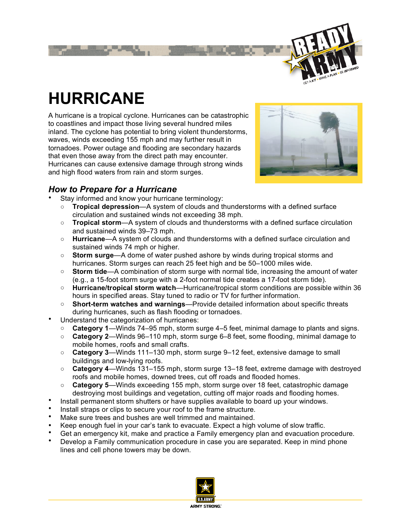

# **HURRICANE**

A hurricane is a tropical cyclone. Hurricanes can be catastrophic to coastlines and impact those living several hundred miles inland. The cyclone has potential to bring violent thunderstorms, waves, winds exceeding 155 mph and may further result in tornadoes. Power outage and flooding are secondary hazards that even those away from the direct path may encounter. Hurricanes can cause extensive damage through strong winds and high flood waters from rain and storm surges.



## *How to Prepare for a Hurricane*

Stay informed and know your hurricane terminology:

- **Tropical depression**—A system of clouds and thunderstorms with a defined surface circulation and sustained winds not exceeding 38 mph.
- **Tropical storm**—A system of clouds and thunderstorms with a defined surface circulation and sustained winds 39–73 mph.
- **Hurricane**—A system of clouds and thunderstorms with a defined surface circulation and sustained winds 74 mph or higher.
- **Storm surge**—A dome of water pushed ashore by winds during tropical storms and hurricanes. Storm surges can reach 25 feet high and be 50–1000 miles wide.
- **Storm tide**—A combination of storm surge with normal tide, increasing the amount of water (e.g., a 15-foot storm surge with a 2-foot normal tide creates a 17-foot storm tide).
- **Hurricane/tropical storm watch**—Hurricane/tropical storm conditions are possible within 36 hours in specified areas. Stay tuned to radio or TV for further information.
- **Short-term watches and warnings**—Provide detailed information about specific threats during hurricanes, such as flash flooding or tornadoes.
- Understand the categorization of hurricanes:
	- **Category 1**—Winds 74–95 mph, storm surge 4–5 feet, minimal damage to plants and signs.
	- **Category 2**—Winds 96–110 mph, storm surge 6–8 feet, some flooding, minimal damage to mobile homes, roofs and small crafts.
	- **Category 3**—Winds 111–130 mph, storm surge 9–12 feet, extensive damage to small buildings and low-lying roofs.
	- **Category 4**—Winds 131–155 mph, storm surge 13–18 feet, extreme damage with destroyed roofs and mobile homes, downed trees, cut off roads and flooded homes.
	- **Category 5**—Winds exceeding 155 mph, storm surge over 18 feet, catastrophic damage destroying most buildings and vegetation, cutting off major roads and flooding homes.
- Install permanent storm shutters or have supplies available to board up your windows.
- Install straps or clips to secure your roof to the frame structure.
- Make sure trees and bushes are well trimmed and maintained.
- Keep enough fuel in your car's tank to evacuate. Expect a high volume of slow traffic.
- Get an emergency kit, make and practice a Family emergency plan and evacuation procedure.
- Develop a Family communication procedure in case you are separated. Keep in mind phone lines and cell phone towers may be down.